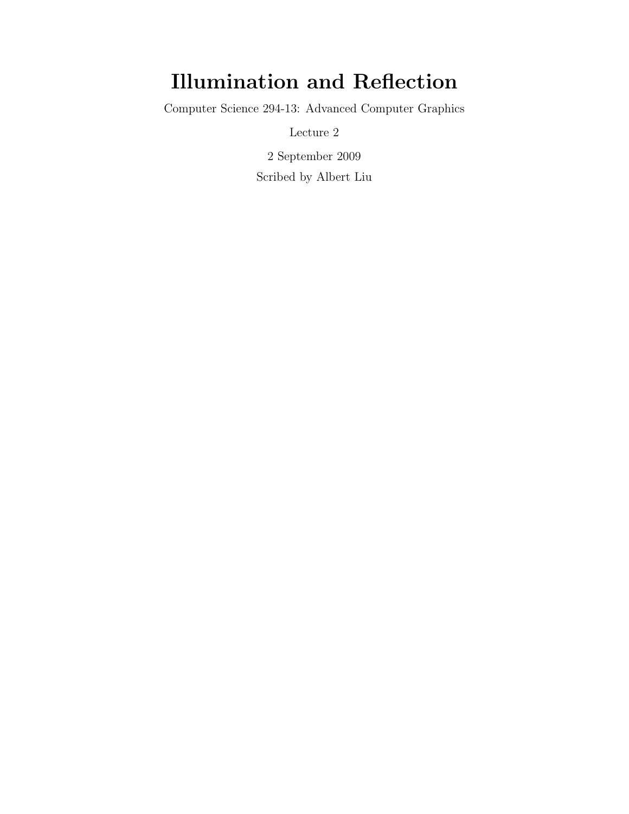# Illumination and Reflection

Computer Science 294-13: Advanced Computer Graphics

Lecture 2

2 September 2009 Scribed by Albert Liu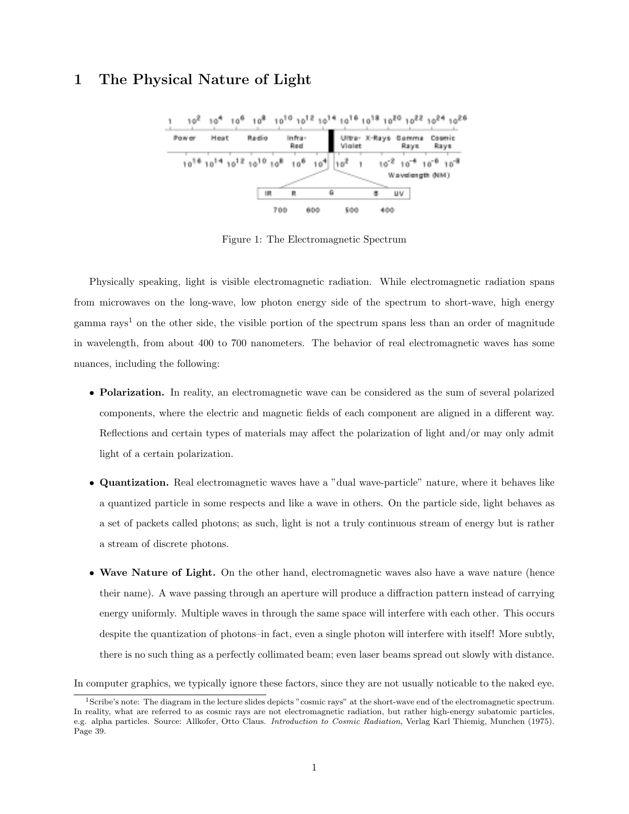## 1 The Physical Nature of Light



Figure 1: The Electromagnetic Spectrum

Physically speaking, light is visible electromagnetic radiation. While electromagnetic radiation spans from microwaves on the long-wave, low photon energy side of the spectrum to short-wave, high energy gamma rays<sup>1</sup> on the other side, the visible portion of the spectrum spans less than an order of magnitude in wavelength, from about 400 to 700 nanometers. The behavior of real electromagnetic waves has some nuances, including the following:

- Polarization. In reality, an electromagnetic wave can be considered as the sum of several polarized components, where the electric and magnetic fields of each component are aligned in a different way. Reflections and certain types of materials may affect the polarization of light and/or may only admit light of a certain polarization.
- Quantization. Real electromagnetic waves have a "dual wave-particle" nature, where it behaves like a quantized particle in some respects and like a wave in others. On the particle side, light behaves as a set of packets called photons; as such, light is not a truly continuous stream of energy but is rather a stream of discrete photons.
- Wave Nature of Light. On the other hand, electromagnetic waves also have a wave nature (hence their name). A wave passing through an aperture will produce a diffraction pattern instead of carrying energy uniformly. Multiple waves in through the same space will interfere with each other. This occurs despite the quantization of photons–in fact, even a single photon will interfere with itself! More subtly, there is no such thing as a perfectly collimated beam; even laser beams spread out slowly with distance.

In computer graphics, we typically ignore these factors, since they are not usually noticable to the naked eye.

<sup>1</sup>Scribe's note: The diagram in the lecture slides depicts "cosmic rays" at the short-wave end of the electromagnetic spectrum. In reality, what are referred to as cosmic rays are not electromagnetic radiation, but rather high-energy subatomic particles, e.g. alpha particles. Source: Allkofer, Otto Claus. Introduction to Cosmic Radiation, Verlag Karl Thiemig, Munchen (1975). Page 39.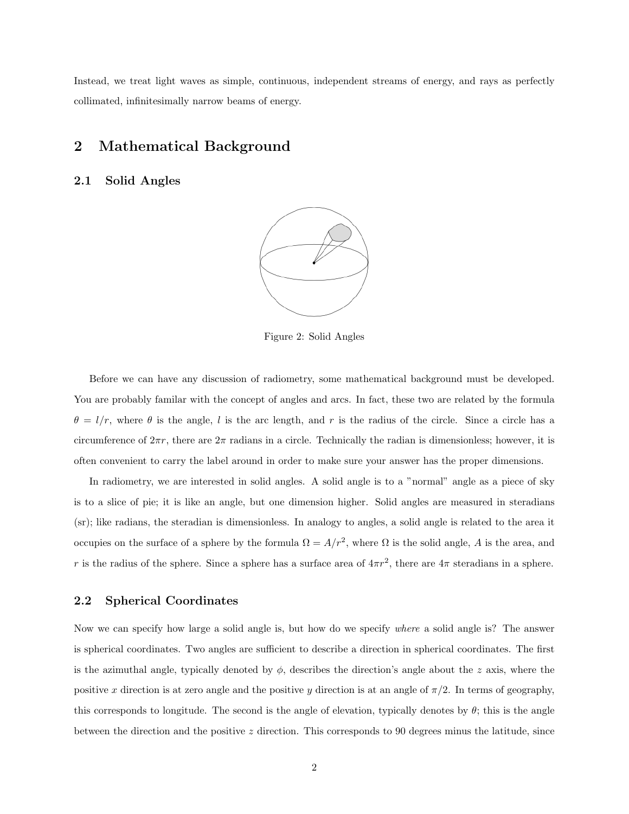Instead, we treat light waves as simple, continuous, independent streams of energy, and rays as perfectly collimated, infinitesimally narrow beams of energy.

## 2 Mathematical Background

### 2.1 Solid Angles



Figure 2: Solid Angles

Before we can have any discussion of radiometry, some mathematical background must be developed. You are probably familar with the concept of angles and arcs. In fact, these two are related by the formula  $\theta = l/r$ , where  $\theta$  is the angle, l is the arc length, and r is the radius of the circle. Since a circle has a circumference of  $2\pi r$ , there are  $2\pi$  radians in a circle. Technically the radian is dimensionless; however, it is often convenient to carry the label around in order to make sure your answer has the proper dimensions.

In radiometry, we are interested in solid angles. A solid angle is to a "normal" angle as a piece of sky is to a slice of pie; it is like an angle, but one dimension higher. Solid angles are measured in steradians (sr); like radians, the steradian is dimensionless. In analogy to angles, a solid angle is related to the area it occupies on the surface of a sphere by the formula  $\Omega = A/r^2$ , where  $\Omega$  is the solid angle, A is the area, and r is the radius of the sphere. Since a sphere has a surface area of  $4\pi r^2$ , there are  $4\pi$  steradians in a sphere.

### 2.2 Spherical Coordinates

Now we can specify how large a solid angle is, but how do we specify where a solid angle is? The answer is spherical coordinates. Two angles are sufficient to describe a direction in spherical coordinates. The first is the azimuthal angle, typically denoted by  $\phi$ , describes the direction's angle about the z axis, where the positive x direction is at zero angle and the positive y direction is at an angle of  $\pi/2$ . In terms of geography, this corresponds to longitude. The second is the angle of elevation, typically denotes by  $\theta$ ; this is the angle between the direction and the positive z direction. This corresponds to 90 degrees minus the latitude, since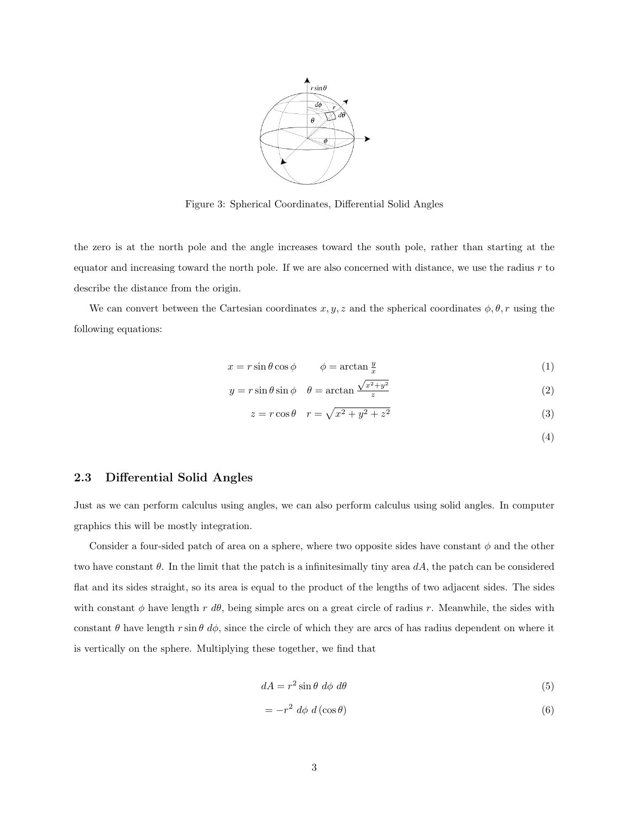

Figure 3: Spherical Coordinates, Differential Solid Angles

the zero is at the north pole and the angle increases toward the south pole, rather than starting at the equator and increasing toward the north pole. If we are also concerned with distance, we use the radius  $r$  to describe the distance from the origin.

We can convert between the Cartesian coordinates  $x, y, z$  and the spherical coordinates  $\phi, \theta, r$  using the following equations:

$$
x = r\sin\theta\cos\phi \qquad \phi = \arctan\frac{y}{x} \tag{1}
$$

$$
y = r \sin \theta \sin \phi \quad \theta = \arctan \frac{\sqrt{x^2 + y^2}}{z}
$$
 (2)

$$
z = r \cos \theta \quad r = \sqrt{x^2 + y^2 + z^2} \tag{3}
$$

(4)

#### 2.3 Differential Solid Angles

Just as we can perform calculus using angles, we can also perform calculus using solid angles. In computer graphics this will be mostly integration.

Consider a four-sided patch of area on a sphere, where two opposite sides have constant  $\phi$  and the other two have constant  $\theta$ . In the limit that the patch is a infinitesimally tiny area dA, the patch can be considered flat and its sides straight, so its area is equal to the product of the lengths of two adjacent sides. The sides with constant  $\phi$  have length r d $\theta$ , being simple arcs on a great circle of radius r. Meanwhile, the sides with constant  $\theta$  have length  $r \sin \theta \, d\phi$ , since the circle of which they are arcs of has radius dependent on where it is vertically on the sphere. Multiplying these together, we find that

$$
dA = r^2 \sin \theta \ d\phi \ d\theta \tag{5}
$$

$$
= -r^2 d\phi d(\cos \theta) \tag{6}
$$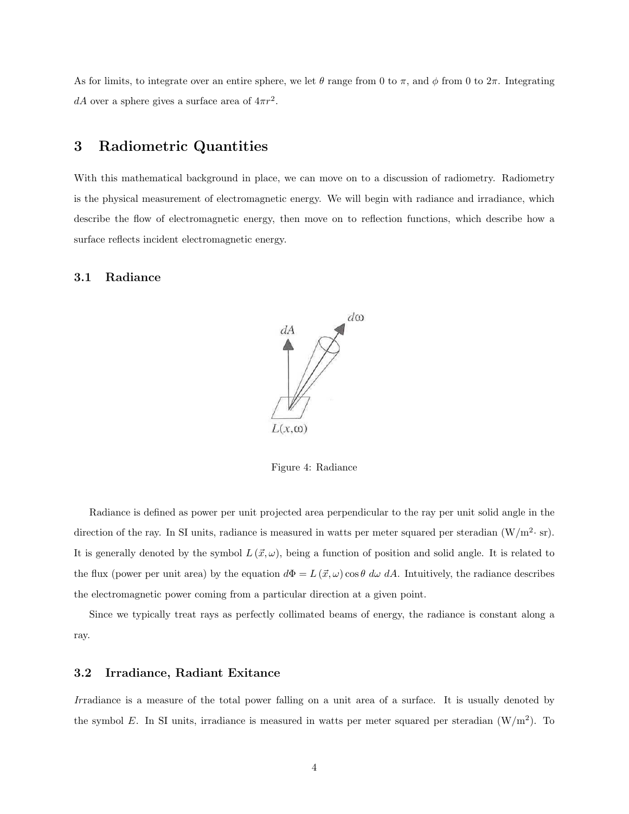As for limits, to integrate over an entire sphere, we let  $\theta$  range from 0 to  $\pi$ , and  $\phi$  from 0 to  $2\pi$ . Integrating dA over a sphere gives a surface area of  $4\pi r^2$ .

# 3 Radiometric Quantities

With this mathematical background in place, we can move on to a discussion of radiometry. Radiometry is the physical measurement of electromagnetic energy. We will begin with radiance and irradiance, which describe the flow of electromagnetic energy, then move on to reflection functions, which describe how a surface reflects incident electromagnetic energy.

### 3.1 Radiance



Figure 4: Radiance

Radiance is defined as power per unit projected area perpendicular to the ray per unit solid angle in the direction of the ray. In SI units, radiance is measured in watts per meter squared per steradian  $(W/m^2 \text{· sr})$ . It is generally denoted by the symbol  $L(\vec{x}, \omega)$ , being a function of position and solid angle. It is related to the flux (power per unit area) by the equation  $d\Phi = L(\vec{x}, \omega) \cos \theta \, d\omega \, dA$ . Intuitively, the radiance describes the electromagnetic power coming from a particular direction at a given point.

Since we typically treat rays as perfectly collimated beams of energy, the radiance is constant along a ray.

### 3.2 Irradiance, Radiant Exitance

Irradiance is a measure of the total power falling on a unit area of a surface. It is usually denoted by the symbol E. In SI units, irradiance is measured in watts per meter squared per steradian  $(W/m<sup>2</sup>)$ . To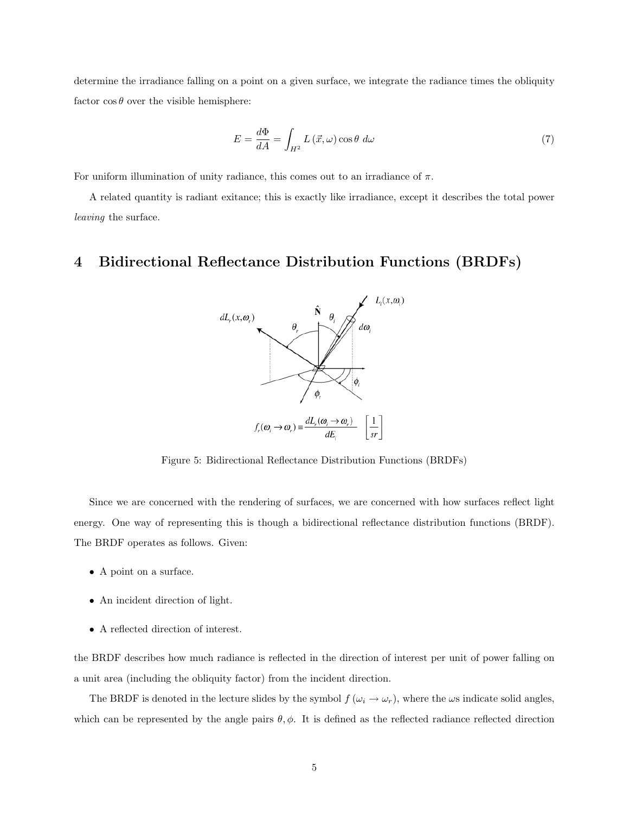determine the irradiance falling on a point on a given surface, we integrate the radiance times the obliquity factor  $\cos \theta$  over the visible hemisphere:

$$
E = \frac{d\Phi}{dA} = \int_{H^2} L(\vec{x}, \omega) \cos \theta \, d\omega \tag{7}
$$

For uniform illumination of unity radiance, this comes out to an irradiance of  $\pi$ .

A related quantity is radiant exitance; this is exactly like irradiance, except it describes the total power leaving the surface.

# 4 Bidirectional Reflectance Distribution Functions (BRDFs)



Figure 5: Bidirectional Reflectance Distribution Functions (BRDFs)

Since we are concerned with the rendering of surfaces, we are concerned with how surfaces reflect light energy. One way of representing this is though a bidirectional reflectance distribution functions (BRDF). The BRDF operates as follows. Given:

- A point on a surface.
- An incident direction of light.
- A reflected direction of interest.

the BRDF describes how much radiance is reflected in the direction of interest per unit of power falling on a unit area (including the obliquity factor) from the incident direction.

The BRDF is denoted in the lecture slides by the symbol  $f(\omega_i \to \omega_r)$ , where the  $\omega$ s indicate solid angles, which can be represented by the angle pairs  $\theta$ ,  $\phi$ . It is defined as the reflected radiance reflected direction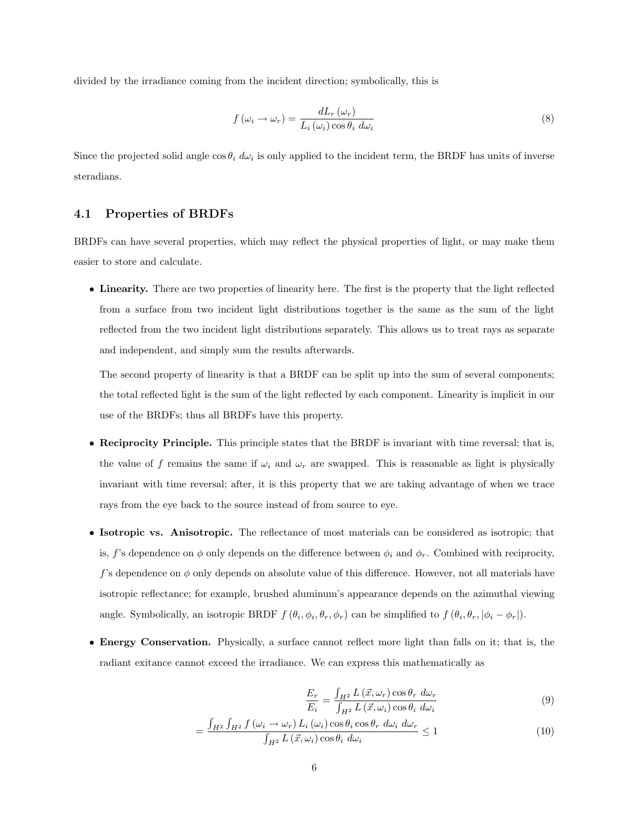divided by the irradiance coming from the incident direction; symbolically, this is

$$
f(\omega_i \to \omega_r) = \frac{dL_r(\omega_r)}{L_i(\omega_i)\cos\theta_i \ d\omega_i}
$$
\n(8)

Since the projected solid angle  $\cos \theta_i d\omega_i$  is only applied to the incident term, the BRDF has units of inverse steradians.

### 4.1 Properties of BRDFs

BRDFs can have several properties, which may reflect the physical properties of light, or may make them easier to store and calculate.

• Linearity. There are two properties of linearity here. The first is the property that the light reflected from a surface from two incident light distributions together is the same as the sum of the light reflected from the two incident light distributions separately. This allows us to treat rays as separate and independent, and simply sum the results afterwards.

The second property of linearity is that a BRDF can be split up into the sum of several components; the total reflected light is the sum of the light reflected by each component. Linearity is implicit in our use of the BRDFs; thus all BRDFs have this property.

- Reciprocity Principle. This principle states that the BRDF is invariant with time reversal; that is, the value of f remains the same if  $\omega_i$  and  $\omega_r$  are swapped. This is reasonable as light is physically invariant with time reversal; after, it is this property that we are taking advantage of when we trace rays from the eye back to the source instead of from source to eye.
- Isotropic vs. Anisotropic. The reflectance of most materials can be considered as isotropic; that is, f's dependence on  $\phi$  only depends on the difference between  $\phi_i$  and  $\phi_r$ . Combined with reciprocity, f's dependence on  $\phi$  only depends on absolute value of this difference. However, not all materials have isotropic reflectance; for example, brushed aluminum's appearance depends on the azimuthal viewing angle. Symbolically, an isotropic BRDF  $f(\theta_i, \phi_i, \theta_r, \phi_r)$  can be simplified to  $f(\theta_i, \theta_r, |\phi_i - \phi_r|)$ .
- Energy Conservation. Physically, a surface cannot reflect more light than falls on it; that is, the radiant exitance cannot exceed the irradiance. We can express this mathematically as

$$
\frac{E_r}{E_i} = \frac{\int_{H^2} L\left(\vec{x}, \omega_r\right) \cos \theta_r \ d\omega_r}{\int_{H^2} L\left(\vec{x}, \omega_i\right) \cos \theta_i \ d\omega_i} \tag{9}
$$

$$
= \frac{\int_{H^2} \int_{H^2} f(\omega_i \to \omega_r) L_i(\omega_i) \cos \theta_i \cos \theta_r d\omega_i d\omega_r}{\int_{H^2} L(\vec{x}, \omega_i) \cos \theta_i d\omega_i} \le 1
$$
\n(10)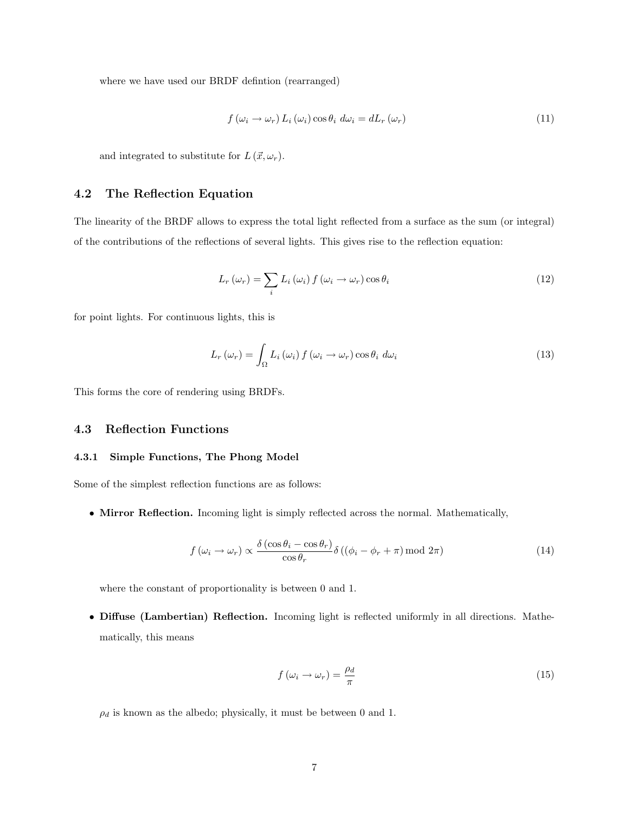where we have used our BRDF defintion (rearranged)

$$
f(\omega_i \to \omega_r) L_i(\omega_i) \cos \theta_i d\omega_i = dL_r(\omega_r)
$$
\n(11)

and integrated to substitute for  $L(\vec{x}, \omega_r)$ .

### 4.2 The Reflection Equation

The linearity of the BRDF allows to express the total light reflected from a surface as the sum (or integral) of the contributions of the reflections of several lights. This gives rise to the reflection equation:

$$
L_r(\omega_r) = \sum_i L_i(\omega_i) f(\omega_i \to \omega_r) \cos \theta_i
$$
\n(12)

for point lights. For continuous lights, this is

$$
L_r(\omega_r) = \int_{\Omega} L_i(\omega_i) f(\omega_i \to \omega_r) \cos \theta_i d\omega_i
$$
 (13)

This forms the core of rendering using BRDFs.

### 4.3 Reflection Functions

#### 4.3.1 Simple Functions, The Phong Model

Some of the simplest reflection functions are as follows:

• Mirror Reflection. Incoming light is simply reflected across the normal. Mathematically,

$$
f(\omega_i \to \omega_r) \propto \frac{\delta(\cos \theta_i - \cos \theta_r)}{\cos \theta_r} \delta((\phi_i - \phi_r + \pi) \mod 2\pi)
$$
 (14)

where the constant of proportionality is between 0 and 1.

• Diffuse (Lambertian) Reflection. Incoming light is reflected uniformly in all directions. Mathematically, this means

$$
f\left(\omega_i \to \omega_r\right) = \frac{\rho_d}{\pi} \tag{15}
$$

 $\rho_d$  is known as the albedo; physically, it must be between 0 and 1.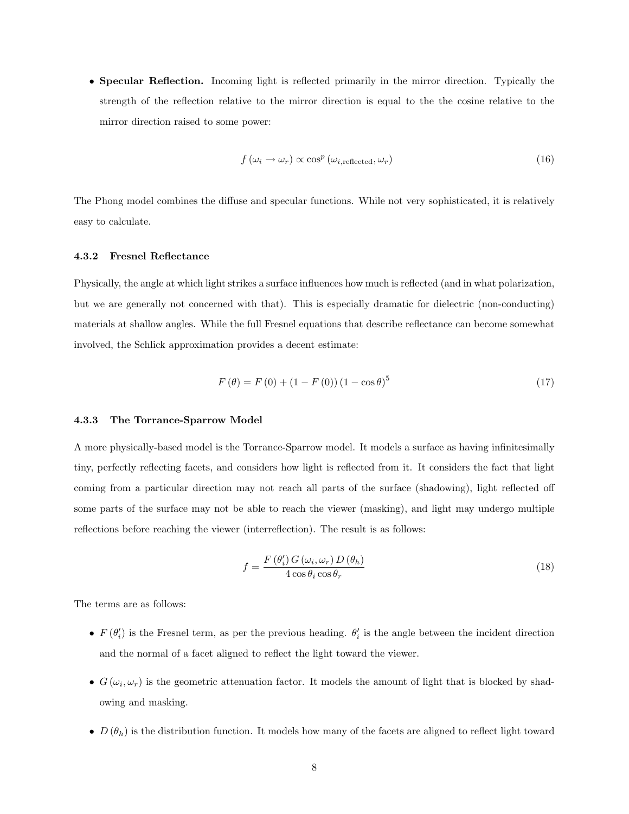• Specular Reflection. Incoming light is reflected primarily in the mirror direction. Typically the strength of the reflection relative to the mirror direction is equal to the the cosine relative to the mirror direction raised to some power:

$$
f(\omega_i \to \omega_r) \propto \cos^p(\omega_{i, \text{reflected}}, \omega_r)
$$
\n(16)

The Phong model combines the diffuse and specular functions. While not very sophisticated, it is relatively easy to calculate.

#### 4.3.2 Fresnel Reflectance

Physically, the angle at which light strikes a surface influences how much is reflected (and in what polarization, but we are generally not concerned with that). This is especially dramatic for dielectric (non-conducting) materials at shallow angles. While the full Fresnel equations that describe reflectance can become somewhat involved, the Schlick approximation provides a decent estimate:

$$
F(\theta) = F(0) + (1 - F(0))(1 - \cos \theta)^5
$$
\n(17)

#### 4.3.3 The Torrance-Sparrow Model

A more physically-based model is the Torrance-Sparrow model. It models a surface as having infinitesimally tiny, perfectly reflecting facets, and considers how light is reflected from it. It considers the fact that light coming from a particular direction may not reach all parts of the surface (shadowing), light reflected off some parts of the surface may not be able to reach the viewer (masking), and light may undergo multiple reflections before reaching the viewer (interreflection). The result is as follows:

$$
f = \frac{F(\theta_i') G(\omega_i, \omega_r) D(\theta_h)}{4 \cos \theta_i \cos \theta_r}
$$
(18)

The terms are as follows:

- $F(\theta_i')$  is the Fresnel term, as per the previous heading.  $\theta_i'$  is the angle between the incident direction and the normal of a facet aligned to reflect the light toward the viewer.
- $G(\omega_i, \omega_r)$  is the geometric attenuation factor. It models the amount of light that is blocked by shadowing and masking.
- $D(\theta_h)$  is the distribution function. It models how many of the facets are aligned to reflect light toward